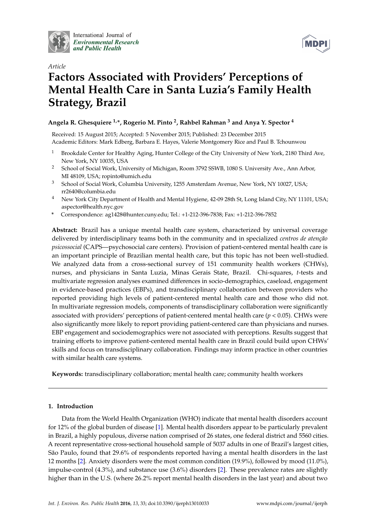

International Journal of **Environmental Research** and Public Health



# *Article* **Factors Associated with Providers' Perceptions of Mental Health Care in Santa Luzia's Family Health Strategy, Brazil**

# **Angela R. Ghesquiere 1,\*, Rogerio M. Pinto <sup>2</sup> , Rahbel Rahman <sup>3</sup> and Anya Y. Spector <sup>4</sup>**

Received: 15 August 2015; Accepted: 5 November 2015; Published: 23 December 2015 Academic Editors: Mark Edberg, Barbara E. Hayes, Valerie Montgomery Rice and Paul B. Tchounwou

- <sup>1</sup> Brookdale Center for Healthy Aging, Hunter College of the City University of New York, 2180 Third Ave, New York, NY 10035, USA
- <sup>2</sup> School of Social Work, University of Michigan, Room 3792 SSWB, 1080 S. University Ave., Ann Arbor, MI 48109, USA; ropinto@umich.edu
- <sup>3</sup> School of Social Work, Columbia University, 1255 Amsterdam Avenue, New York, NY 10027, USA; rr2640@columbia.edu
- <sup>4</sup> New York City Department of Health and Mental Hygiene, 42-09 28th St, Long Island City, NY 11101, USA; aspector@health.nyc.gov
- **\*** Correspondence: ag1428@hunter.cuny.edu; Tel.: +1-212-396-7838; Fax: +1-212-396-7852

**Abstract:** Brazil has a unique mental health care system, characterized by universal coverage delivered by interdisciplinary teams both in the community and in specialized *centros de atenção psicossocial* (CAPS—psychosocial care centers). Provision of patient-centered mental health care is an important principle of Brazilian mental health care, but this topic has not been well-studied. We analyzed data from a cross-sectional survey of 151 community health workers (CHWs), nurses, and physicians in Santa Luzia, Minas Gerais State, Brazil. Chi-squares, *t*-tests and multivariate regression analyses examined differences in socio-demographics, caseload, engagement in evidence-based practices (EBPs), and transdisciplinary collaboration between providers who reported providing high levels of patient-centered mental health care and those who did not. In multivariate regression models, components of transdisciplinary collaboration were significantly associated with providers' perceptions of patient-centered mental health care (*p* < 0.05). CHWs were also significantly more likely to report providing patient-centered care than physicians and nurses. EBP engagement and sociodemographics were not associated with perceptions. Results suggest that training efforts to improve patient-centered mental health care in Brazil could build upon CHWs' skills and focus on transdisciplinary collaboration. Findings may inform practice in other countries with similar health care systems.

**Keywords:** transdisciplinary collaboration; mental health care; community health workers

# **1. Introduction**

Data from the World Health Organization (WHO) indicate that mental health disorders account for 12% of the global burden of disease [\[1\]](#page-7-0). Mental health disorders appear to be particularly prevalent in Brazil, a highly populous, diverse nation comprised of 26 states, one federal district and 5560 cities. A recent representative cross-sectional household sample of 5037 adults in one of Brazil's largest cities, São Paulo, found that 29.6% of respondents reported having a mental health disorders in the last 12 months [\[2\]](#page-7-1). Anxiety disorders were the most common condition (19.9%), followed by mood (11.0%), impulse-control (4.3%), and substance use (3.6%) disorders [\[2\]](#page-7-1). These prevalence rates are slightly higher than in the U.S. (where 26.2% report mental health disorders in the last year) and about two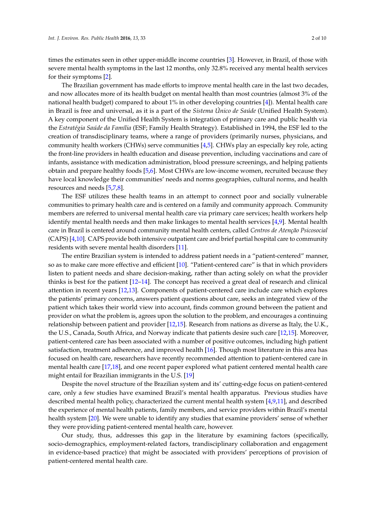times the estimates seen in other upper-middle income countries [\[3\]](#page-7-2). However, in Brazil, of those with severe mental health symptoms in the last 12 months, only 32.8% received any mental health services for their symptoms [\[2\]](#page-7-1).

The Brazilian government has made efforts to improve mental health care in the last two decades, and now allocates more of its health budget on mental health than most countries (almost 3% of the national health budget) compared to about 1% in other developing countries [\[4\]](#page-7-3)). Mental health care in Brazil is free and universal, as it is a part of the *Sistema Único de Saúde* (Unified Health System). A key component of the Unified Health System is integration of primary care and public health via the *Estratégia Saúde da Família* (ESF; Family Health Strategy). Established in 1994, the ESF led to the creation of transdisciplinary teams, where a range of providers (primarily nurses, physicians, and community health workers (CHWs) serve communities [\[4,](#page-7-3)[5\]](#page-7-4). CHWs play an especially key role, acting the front-line providers in health education and disease prevention, including vaccinations and care of infants, assistance with medication administration, blood pressure screenings, and helping patients obtain and prepare healthy foods [\[5](#page-7-4)[,6\]](#page-7-5). Most CHWs are low-income women, recruited because they have local knowledge their communities' needs and norms geographies, cultural norms, and health resources and needs [\[5,](#page-7-4)[7,](#page-8-0)[8\]](#page-8-1).

The ESF utilizes these health teams in an attempt to connect poor and socially vulnerable communities to primary health care and is centered on a family and community approach. Community members are referred to universal mental health care via primary care services; health workers help identify mental health needs and then make linkages to mental health services [\[4](#page-7-3)[,9\]](#page-8-2). Mental health care in Brazil is centered around community mental health centers, called *Centros de Atenção Psicosocial* (CAPS) [\[4](#page-7-3)[,10\]](#page-8-3). CAPS provide both intensive outpatient care and brief partial hospital care to community residents with severe mental health disorders [\[11\]](#page-8-4).

The entire Brazilian system is intended to address patient needs in a "patient-centered" manner, so as to make care more effective and efficient [\[10\]](#page-8-3). "Patient-centered care" is that in which providers listen to patient needs and share decision-making, rather than acting solely on what the provider thinks is best for the patient [\[12–](#page-8-5)[14\]](#page-8-6). The concept has received a great deal of research and clinical attention in recent years [\[12](#page-8-5)[,13\]](#page-8-7). Components of patient-centered care include care which explores the patients' primary concerns, answers patient questions about care, seeks an integrated view of the patient which takes their world view into account, finds common ground between the patient and provider on what the problem is, agrees upon the solution to the problem, and encourages a continuing relationship between patient and provider [\[12](#page-8-5)[,15\]](#page-8-8). Research from nations as diverse as Italy, the U.K., the U.S., Canada, South Africa, and Norway indicate that patients desire such care [\[12](#page-8-5)[,15\]](#page-8-8). Moreover, patient-centered care has been associated with a number of positive outcomes, including high patient satisfaction, treatment adherence, and improved health [\[16\]](#page-8-9). Though most literature in this area has focused on health care, researchers have recently recommended attention to patient-centered care in mental health care [\[17,](#page-8-10)[18\]](#page-8-11), and one recent paper explored what patient centered mental health care might entail for Brazilian immigrants in the U.S. [\[19\]](#page-8-12)

Despite the novel structure of the Brazilian system and its' cutting-edge focus on patient-centered care, only a few studies have examined Brazil's mental health apparatus. Previous studies have described mental health policy, characterized the current mental health system [\[4,](#page-7-3)[9,](#page-8-2)[11\]](#page-8-4), and described the experience of mental health patients, family members, and service providers within Brazil's mental health system [\[20\]](#page-8-13). We were unable to identify any studies that examine providers' sense of whether they were providing patient-centered mental health care, however.

Our study, thus, addresses this gap in the literature by examining factors (specifically, socio-demographics, employment-related factors, trandisciplinary collaboration and engagement in evidence-based practice) that might be associated with providers' perceptions of provision of patient-centered mental health care.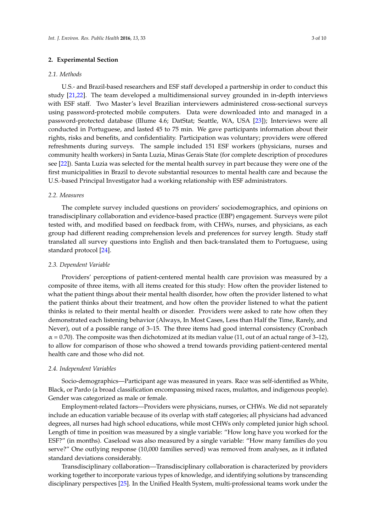# **2. Experimental Section**

#### *2.1. Methods*

U.S.- and Brazil-based researchers and ESF staff developed a partnership in order to conduct this study [\[21,](#page-8-14)[22\]](#page-8-15). The team developed a multidimensional survey grounded in in-depth interviews with ESF staff. Two Master's level Brazilian interviewers administered cross-sectional surveys using password-protected mobile computers. Data were downloaded into and managed in a password-protected database (Illume 4.6; DatStat; Seattle, WA, USA [\[23\]](#page-8-16)); Interviews were all conducted in Portuguese, and lasted 45 to 75 min. We gave participants information about their rights, risks and benefits, and confidentiality. Participation was voluntary; providers were offered refreshments during surveys. The sample included 151 ESF workers (physicians, nurses and community health workers) in Santa Luzia, Minas Gerais State (for complete description of procedures see [\[22\]](#page-8-15)). Santa Luzia was selected for the mental health survey in part because they were one of the first municipalities in Brazil to devote substantial resources to mental health care and because the U.S.-based Principal Investigator had a working relationship with ESF administrators.

# *2.2. Measures*

The complete survey included questions on providers' sociodemographics, and opinions on transdisciplinary collaboration and evidence-based practice (EBP) engagement. Surveys were pilot tested with, and modified based on feedback from, with CHWs, nurses, and physicians, as each group had different reading comprehension levels and preferences for survey length. Study staff translated all survey questions into English and then back-translated them to Portuguese, using standard protocol [\[24\]](#page-8-17).

# *2.3. Dependent Variable*

Providers' perceptions of patient-centered mental health care provision was measured by a composite of three items, with all items created for this study: How often the provider listened to what the patient things about their mental health disorder, how often the provider listened to what the patient thinks about their treatment, and how often the provider listened to what the patient thinks is related to their mental health or disorder. Providers were asked to rate how often they demonstrated each listening behavior (Always, In Most Cases, Less than Half the Time, Rarely, and Never), out of a possible range of 3–15. The three items had good internal consistency (Cronbach  $\alpha$  = 0.70). The composite was then dichotomized at its median value (11, out of an actual range of 3–12), to allow for comparison of those who showed a trend towards providing patient-centered mental health care and those who did not.

# *2.4. Independent Variables*

Socio-demographics—Participant age was measured in years. Race was self-identified as White, Black, or Pardo (a broad classification encompassing mixed races, mulattos, and indigenous people). Gender was categorized as male or female.

Employment-related factors—Providers were physicians, nurses, or CHWs. We did not separately include an education variable because of its overlap with staff categories; all physicians had advanced degrees, all nurses had high school educations, while most CHWs only completed junior high school. Length of time in position was measured by a single variable: "How long have you worked for the ESF?" (in months). Caseload was also measured by a single variable: "How many families do you serve?" One outlying response (10,000 families served) was removed from analyses, as it inflated standard deviations considerably.

Transdisciplinary collaboration—Transdisciplinary collaboration is characterized by providers working together to incorporate various types of knowledge, and identifying solutions by transcending disciplinary perspectives [\[25\]](#page-8-18). In the Unified Health System, multi-professional teams work under the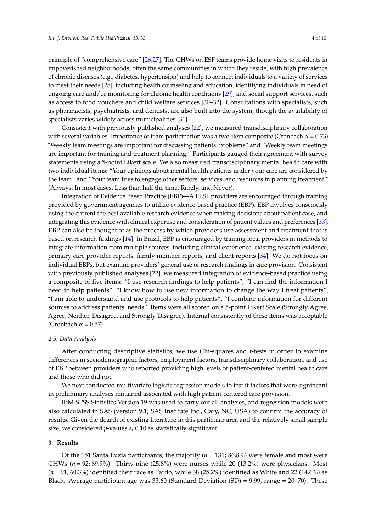principle of "comprehensive care" [\[26,](#page-8-19)[27\]](#page-8-20). The CHWs on ESF teams provide home visits to residents in impoverished neighborhoods, often the same communities in which they reside, with high prevalence of chronic diseases (e.g., diabetes, hypertension) and help to connect individuals to a variety of services to meet their needs [\[28\]](#page-8-21), including health counseling and education, identifying individuals in need of ongoing care and/or monitoring for chronic health conditions [\[29\]](#page-8-22), and social support services, such as access to food vouchers and child welfare services [\[30](#page-9-0)[–32\]](#page-9-1). Consultations with specialists, such as pharmacists, psychiatrists, and dentists, are also built into the system, though the availability of specialists varies widely across municipalities [\[31\]](#page-9-2).

Consistent with previously published analyses [\[22\]](#page-8-15), we measured transdisciplinary collaboration with several variables. Importance of team participation was a two-item composite (Cronbach  $\alpha$  = 0.73) "Weekly team meetings are important for discussing patients' problems" and "Weekly team meetings are important for training and treatment planning." Participants gauged their agreement with survey statements using a 5-point Likert scale. We also measured transdisciplinary mental health care with two individual items: "Your opinions about mental health patients under your care are considered by the team" and "Your team tries to engage other sectors, services, and resources in planning treatment." (Always, In most cases, Less than half the time, Rarely, and Never).

Integration of Evidence Based Practice (EBP)—All ESF providers are encouraged through training provided by government agencies to utilize evidence-based practice (EBP). EBP involves consciously using the current the best available research evidence when making decisions about patient case, and integrating this evidence with clinical expertise and consideration of patient values and preferences [\[33\]](#page-9-3). EBP can also be thought of as the process by which providers use assessment and treatment that is based on research findings [\[14\]](#page-8-6). In Brazil, EBP is encouraged by training local providers in methods to integrate information from multiple sources, including clinical experience, existing research evidence, primary care provider reports, family member reports, and client reports [\[34\]](#page-9-4). We do not focus on individual EBPs, but examine providers' general use of research findings in care provision. Consistent with previously published analyses [\[22\]](#page-8-15), we measured integration of evidence-based practice using a composite of five items: "I use research findings to help patients", "I can find the information I need to help patients", "I know how to use new information to change the way I treat patients", "I am able to understand and use protocols to help patients", "I combine information for different sources to address patients' needs." Items were all scored on a 5-point Likert Scale (Strongly Agree, Agree, Neither, Disagree, and Strongly Disagree). Internal consistently of these items was acceptable (Cronbach  $\alpha$  = 0.57).

#### *2.5. Data Analysis*

After conducting descriptive statistics, we use Chi-squares and *t*-tests in order to examine differences in sociodemographic factors, employment factors, transdisciplinary collaboration, and use of EBP between providers who reported providing high levels of patient-centered mental health care and those who did not.

We next conducted multivariate logistic regression models to test if factors that were significant in preliminary analyses remained associated with high patient-centered care provision.

IBM SPSS Statistics Version 19 was used to carry out all analyses, and regression models were also calculated in SAS (version 9.1; SAS Institute Inc., Cary, NC, USA) to confirm the accuracy of results. Given the dearth of existing literature in this particular area and the relatively small sample size, we considered  $p$ -values  $\leq 0.10$  as statistically significant.

#### **3. Results**

Of the 151 Santa Luzia participants, the majority (*n* = 131; 86.8%) were female and most were CHWs (*n* = 92; 69.9%). Thirty-nine (25.8%) were nurses while 20 (13.2%) were physicians. Most (*n* = 91, 60.3%) identified their race as Pardo, while 38 (25.2%) identified as White and 22 (14.6%) as Black. Average participant age was 33.60 (Standard Deviation  $(SD) = 9.99$ , range = 20–70). These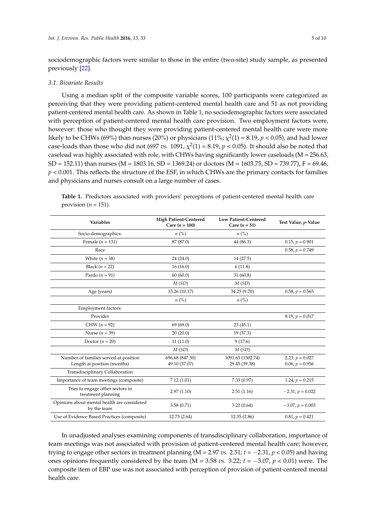sociodemographic factors were similar to those in the entire (two-site) study sample, as presented previously [\[22\]](#page-8-15).

# *3.1. Bivariate Results*

Using a median split of the composite variable scores, 100 participants were categorized as perceiving that they were providing patient-centered mental health care and 51 as not providing patient-centered mental health care. As shown in Table [1,](#page-4-0) no sociodemographic factors were associated with perception of patient-centered mental health care provision. Two employment factors were, however: those who thought they were providing patient-centered mental health care were more likely to be CHWs (69%) than nurses (20%) or physicians (11%;  $\chi^2(1)$  = 8.19,  $p$  < 0.05), and had lower case-loads than those who did not (697 *vs.*  $1091$ ,  $\chi^2(1) = 8.19$ ,  $p < 0.05$ ). It should also be noted that caseload was highly associated with role, with CHWs having significantly lower caseloads (M = 256.63,  $SD = 152.11$ ) than nurses (M = 1803.16, SD = 1369.24) or doctors (M = 1603.75, SD = 739.77), F = 69.46,  $p < 0.001$ . This reflects the structure of the ESF, in which CHWs are the primary contacts for families and physicians and nurses consult on a large number of cases.

<span id="page-4-0"></span>**Table 1.** Predictors associated with providers' perceptions of patient-centered mental health care provision ( $n = 151$ ).

| <b>Variables</b>                                                     | <b>High Patient-Centered</b><br>Care $(n = 100)$ | <b>Low Patient-Centered</b><br>Care $(n = 51)$ | Test Value, p-Value                    |
|----------------------------------------------------------------------|--------------------------------------------------|------------------------------------------------|----------------------------------------|
| Socio-demographics:                                                  | $n\left(\%\right)$                               | $n\left(\%\right)$                             |                                        |
| Female ( $n = 131$ )                                                 | 87 (87.0)                                        | 44 (86.3)                                      | $0.15, p = 0.901$                      |
| Race                                                                 |                                                  |                                                | $0.58, p = 0.749$                      |
| White $(n = 38)$                                                     | 24(24.0)                                         | 14 (27.5)                                      |                                        |
| Black $(n = 22)$                                                     | 16(16.0)                                         | 6(11.8)                                        |                                        |
| Pardo ( $n = 91$ )                                                   | 60(60.0)                                         | 31(60.8)                                       |                                        |
|                                                                      | M(SD)                                            | M(SD)                                          |                                        |
| Age (years)                                                          | 33.26 (10.17)                                    | 34.25 (9.70)                                   | $0.58, p = 0.565$                      |
|                                                                      | $n\left(\%\right)$                               | $n\left(\%\right)$                             |                                        |
| Employment factors:                                                  |                                                  |                                                |                                        |
| Provider                                                             |                                                  |                                                | $8.19, p = 0.017$                      |
| $CHW (n = 92)$                                                       | 69(69.0)                                         | 23(45.1)                                       |                                        |
| Nurse $(n = 39)$                                                     | 20(20.0)                                         | 19 (37.3)                                      |                                        |
| Doctor $(n = 20)$                                                    | 11(11.0)                                         | 9(17.6)                                        |                                        |
|                                                                      | M(SD)                                            | M(SD)                                          |                                        |
| Number of families served at position<br>Length at position (months) | 696.68 (847.30)<br>49.10 (37.07)                 | 1091.63 (1302.74)<br>29.45 (39.38)             | 2.23, $p = 0.027$<br>$0.06, p = 0.956$ |
| Transdisciplinary Collaboration                                      |                                                  |                                                |                                        |
| Importance of team meetings (composite)                              | 7.12(1.01)                                       | 7.33(0.97)                                     | 1.24, $p = 0.215$                      |
| Tries to engage other sectors in<br>treatment planning               | 2.97(1.10)                                       | 2.51(1.16)                                     | $-2.31, p = 0.022$                     |
| Opinions about mental health are considered<br>by the team           | 3.58(0.71)                                       | 3.22(0.64)                                     | $-3.07, p = 0.003$                     |
| Use of Evidence Based Practices (composite)                          | 12.73 (2.64)                                     | 12.35 (2.86)                                   | $0.81, p = 0.421$                      |

In unadjusted analyses examining components of transdisciplinary collaboration, importance of team meetings was not associated with provision of patient-centered mental health care; however, trying to engage other sectors in treatment planning ( $M = 2.97$  vs.  $2.51$ ;  $t = -2.31$ ,  $p < 0.05$ ) and having ones opinions frequently considered by the team  $(M = 3.58 \text{ vs. } 3.22; t = -3.07, p < 0.01)$  were. The composite item of EBP use was not associated with perception of provision of patient-centered mental health care.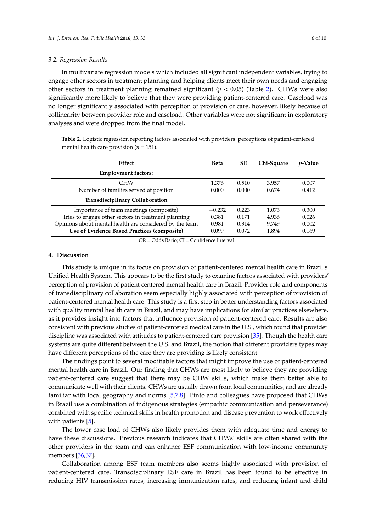#### *3.2. Regression Results*

In multivariate regression models which included all significant independent variables, trying to engage other sectors in treatment planning and helping clients meet their own needs and engaging other sectors in treatment planning remained significant (*p* < 0.05) (Table [2\)](#page-5-0). CHWs were also significantly more likely to believe that they were providing patient-centered care. Caseload was no longer significantly associated with perception of provision of care, however, likely because of collinearity between provider role and caseload. Other variables were not significant in exploratory analyses and were dropped from the final model.

<span id="page-5-0"></span>**Table 2.** Logistic regression reporting factors associated with providers' perceptions of patient-centered mental health care provision (*n* = 151).

| Effect                                                  | <b>Beta</b> | <b>SE</b> | Chi-Square | <i>v</i> -Value |
|---------------------------------------------------------|-------------|-----------|------------|-----------------|
| <b>Employment factors:</b>                              |             |           |            |                 |
| <b>CHW</b>                                              | 1.376       | 0.510     | 3.957      | 0.007           |
| Number of families served at position                   | 0.000       | 0.000     | 0.674      | 0.412           |
| <b>Transdisciplinary Collaboration</b>                  |             |           |            |                 |
| Importance of team meetings (composite)                 | $-0.232$    | 0.223     | 1.073      | 0.300           |
| Tries to engage other sectors in treatment planning     | 0.381       | 0.171     | 4.936      | 0.026           |
| Opinions about mental health are considered by the team | 0.981       | 0.314     | 9.749      | 0.002           |
| Use of Evidence Based Practices (composite)             | 0.099       | 0.072     | 1.894      | 0.169           |

OR = Odds Ratio; CI = Confidence Interval.

# **4. Discussion**

This study is unique in its focus on provision of patient-centered mental health care in Brazil's Unified Health System. This appears to be the first study to examine factors associated with providers' perception of provision of patient centered mental health care in Brazil. Provider role and components of transdisciplinary collaboration seem especially highly associated with perception of provision of patient-centered mental health care. This study is a first step in better understanding factors associated with quality mental health care in Brazil, and may have implications for similar practices elsewhere, as it provides insight into factors that influence provision of patient-centered care. Results are also consistent with previous studies of patient-centered medical care in the U.S., which found that provider discipline was associated with attitudes to patient-centered care provision [\[35\]](#page-9-5). Though the health care systems are quite different between the U.S. and Brazil, the notion that different providers types may have different perceptions of the care they are providing is likely consistent.

The findings point to several modifiable factors that might improve the use of patient-centered mental health care in Brazil. Our finding that CHWs are most likely to believe they are providing patient-centered care suggest that there may be CHW skills, which make them better able to communicate well with their clients. CHWs are usually drawn from local communities, and are already familiar with local geography and norms [\[5](#page-7-4)[,7](#page-8-0)[,8\]](#page-8-1). Pinto and colleagues have proposed that CHWs in Brazil use a combination of indigenous strategies (empathic communication and perseverance) combined with specific technical skills in health promotion and disease prevention to work effectively with patients [\[5\]](#page-7-4).

The lower case load of CHWs also likely provides them with adequate time and energy to have these discussions. Previous research indicates that CHWs' skills are often shared with the other providers in the team and can enhance ESF communication with low-income community members [\[36,](#page-9-6)[37\]](#page-9-7).

Collaboration among ESF team members also seems highly associated with provision of patient-centered care. Transdisciplinary ESF care in Brazil has been found to be effective in reducing HIV transmission rates, increasing immunization rates, and reducing infant and child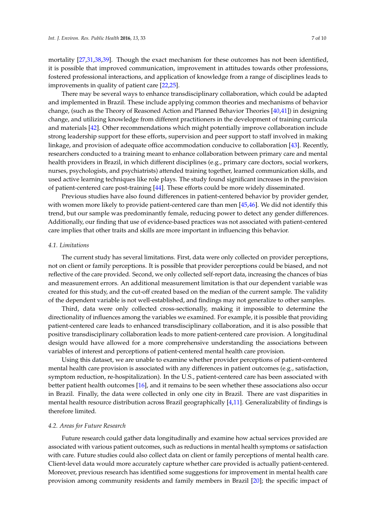mortality [\[27,](#page-8-20)[31,](#page-9-2)[38,](#page-9-8)[39\]](#page-9-9). Though the exact mechanism for these outcomes has not been identified, it is possible that improved communication, improvement in attitudes towards other professions, fostered professional interactions, and application of knowledge from a range of disciplines leads to improvements in quality of patient care [\[22](#page-8-15)[,25\]](#page-8-18).

There may be several ways to enhance transdisciplinary collaboration, which could be adapted and implemented in Brazil. These include applying common theories and mechanisms of behavior change, (such as the Theory of Reasoned Action and Planned Behavior Theories [\[40,](#page-9-10)[41\]](#page-9-11)) in designing change, and utilizing knowledge from different practitioners in the development of training curricula and materials [\[42\]](#page-9-12). Other recommendations which might potentially improve collaboration include strong leadership support for these efforts, supervision and peer support to staff involved in making linkage, and provision of adequate office accommodation conducive to collaboration [\[43\]](#page-9-13). Recently, researchers conducted to a training meant to enhance collaboration between primary care and mental health providers in Brazil, in which different disciplines (e.g., primary care doctors, social workers, nurses, psychologists, and psychiatrists) attended training together, learned communication skills, and used active learning techniques like role plays. The study found significant increases in the provision of patient-centered care post-training [\[44\]](#page-9-14). These efforts could be more widely disseminated.

Previous studies have also found differences in patient-centered behavior by provider gender, with women more likely to provide patient-centered care than men [\[45,](#page-9-15)[46\]](#page-9-16). We did not identify this trend, but our sample was predominantly female, reducing power to detect any gender differences. Additionally, our finding that use of evidence-based practices was not associated with patient-centered care implies that other traits and skills are more important in influencing this behavior.

# *4.1. Limitations*

The current study has several limitations. First, data were only collected on provider perceptions, not on client or family perceptions. It is possible that provider perceptions could be biased, and not reflective of the care provided. Second, we only collected self-report data, increasing the chances of bias and measurement errors. An additional measurement limitation is that our dependent variable was created for this study, and the cut-off created based on the median of the current sample. The validity of the dependent variable is not well-established, and findings may not generalize to other samples.

Third, data were only collected cross-sectionally, making it impossible to determine the directionality of influences among the variables we examined. For example, it is possible that providing patient-centered care leads to enhanced transdisciplinary collaboration, and it is also possible that positive transdisciplinary collaboration leads to more patient-centered care provision. A longitudinal design would have allowed for a more comprehensive understanding the associations between variables of interest and perceptions of patient-centered mental health care provision.

Using this dataset, we are unable to examine whether provider perceptions of patient-centered mental health care provision is associated with any differences in patient outcomes (e.g., satisfaction, symptom reduction, re-hospitalization). In the U.S., patient-centered care has been associated with better patient health outcomes [\[16\]](#page-8-9), and it remains to be seen whether these associations also occur in Brazil. Finally, the data were collected in only one city in Brazil. There are vast disparities in mental health resource distribution across Brazil geographically [\[4](#page-7-3)[,11\]](#page-8-4). Generalizability of findings is therefore limited.

# *4.2. Areas for Future Research*

Future research could gather data longitudinally and examine how actual services provided are associated with various patient outcomes, such as reductions in mental health symptoms or satisfaction with care. Future studies could also collect data on client or family perceptions of mental health care. Client-level data would more accurately capture whether care provided is actually patient-centered. Moreover, previous research has identified some suggestions for improvement in mental health care provision among community residents and family members in Brazil [\[20\]](#page-8-13); the specific impact of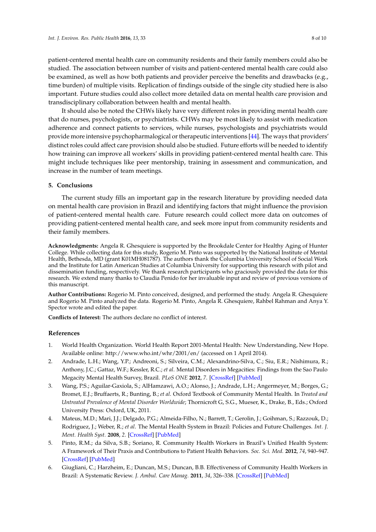patient-centered mental health care on community residents and their family members could also be studied. The association between number of visits and patient-centered mental health care could also be examined, as well as how both patients and provider perceive the benefits and drawbacks (e.g., time burden) of multiple visits. Replication of findings outside of the single city studied here is also important. Future studies could also collect more detailed data on mental health care provision and transdisciplinary collaboration between health and mental health.

It should also be noted the CHWs likely have very different roles in providing mental health care that do nurses, psychologists, or psychiatrists. CHWs may be most likely to assist with medication adherence and connect patients to services, while nurses, psychologists and psychiatrists would provide more intensive psychopharmalogical or therapeutic interventions [\[44\]](#page-9-14). The ways that providers' distinct roles could affect care provision should also be studied. Future efforts will be needed to identify how training can improve all workers' skills in providing patient-centered mental health care. This might include techniques like peer mentorship, training in assessment and communication, and increase in the number of team meetings.

## **5. Conclusions**

The current study fills an important gap in the research literature by providing needed data on mental health care provision in Brazil and identifying factors that might influence the provision of patient-centered mental health care. Future research could collect more data on outcomes of providing patient-centered mental health care, and seek more input from community residents and their family members.

**Acknowledgments:** Angela R. Ghesquiere is supported by the Brookdale Center for Healthy Aging of Hunter College. While collecting data for this study, Rogerio M. Pinto was supported by the National Institute of Mental Health, Bethesda, MD (grant K01MH081787). The authors thank the Columbia University School of Social Work and the Institute for Latin American Studies at Columbia University for supporting this research with pilot and dissemination funding, respectively. We thank research participants who graciously provided the data for this research. We extend many thanks to Claudia Penido for her invaluable input and review of previous versions of this manuscript.

**Author Contributions:** Rogerio M. Pinto conceived, designed, and performed the study. Angela R. Ghesquiere and Rogerio M. Pinto analyzed the data. Rogerio M. Pinto, Angela R. Ghesquiere, Rahbel Rahman and Anya Y. Spector wrote and edited the paper.

**Conflicts of Interest:** The authors declare no conflict of interest.

#### **References**

- <span id="page-7-0"></span>1. World Health Organization. World Health Report 2001-Mental Health: New Understanding, New Hope. Available online: http://www.who.int/whr/2001/en/ (accessed on 1 April 2014).
- <span id="page-7-1"></span>2. Andrade, L.H.; Wang, Y.P.; Andreoni, S.; Silveira, C.M.; Alexandrino-Silva, C.; Siu, E.R.; Nishimura, R.; Anthony, J.C.; Gattaz, W.F.; Kessler, R.C.; *et al*. Mental Disorders in Megacities: Findings from the Sao Paulo Megacity Mental Health Survey, Brazil. *PLoS ONE* **2012**, *7*. [\[CrossRef\]](http://dx.doi.org/10.1371/journal.pone.0031879) [\[PubMed\]](http://www.ncbi.nlm.nih.gov/pubmed/22348135)
- <span id="page-7-2"></span>3. Wang, P.S.; Aguilar-Gaxiola, S.; AlHamzawi, A.O.; Alonso, J.; Andrade, L.H.; Angermeyer, M.; Borges, G.; Bromet, E.J.; Bruffaerts, R.; Bunting, B.; *et al*. Oxford Textbook of Community Mental Health. In *Treated and Untreated Prevalence of Mental Disorder Worldwide*; Thornicroft G, S.G., Mueser, K., Drake, B., Eds.; Oxford University Press: Oxford, UK, 2011.
- <span id="page-7-3"></span>4. Mateus, M.D.; Mari, J.J.; Delgado, P.G.; Almeida-Filho, N.; Barrett, T.; Gerolin, J.; Goihman, S.; Razzouk, D.; Rodriguez, J.; Weber, R.; *et al*. The Mental Health System in Brazil: Policies and Future Challenges. *Int. J. Ment. Health Syst.* **2008**, *2*. [\[CrossRef\]](http://dx.doi.org/10.1186/1752-4458-2-12) [\[PubMed\]](http://www.ncbi.nlm.nih.gov/pubmed/18775070)
- <span id="page-7-4"></span>5. Pinto, R.M.; da Silva, S.B.; Soriano, R. Community Health Workers in Brazil's Unified Health System: A Framework of Their Praxis and Contributions to Patient Health Behaviors. *Soc. Sci. Med.* **2012**, *74*, 940–947. [\[CrossRef\]](http://dx.doi.org/10.1016/j.socscimed.2011.12.025) [\[PubMed\]](http://www.ncbi.nlm.nih.gov/pubmed/22305469)
- <span id="page-7-5"></span>6. Giugliani, C.; Harzheim, E.; Duncan, M.S.; Duncan, B.B. Effectiveness of Community Health Workers in Brazil: A Systematic Review. *J. Ambul. Care Manag.* **2011**, *34*, 326–338. [\[CrossRef\]](http://dx.doi.org/10.1097/JAC.0b013e31822cbdfd) [\[PubMed\]](http://www.ncbi.nlm.nih.gov/pubmed/21914989)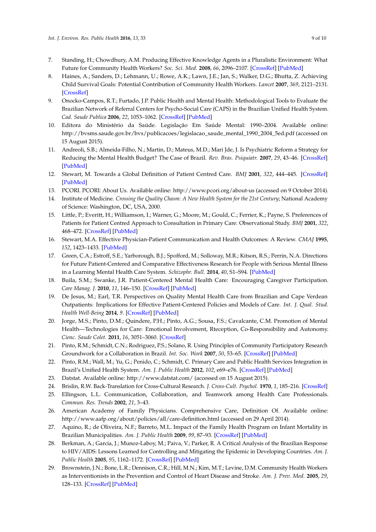- <span id="page-8-0"></span>7. Standing, H.; Chowdhury, A.M. Producing Effective Knowledge Agents in a Pluralistic Environment: What Future for Community Health Workers? *Soc. Sci. Med.* **2008**, *66*, 2096–2107. [\[CrossRef\]](http://dx.doi.org/10.1016/j.socscimed.2008.01.046) [\[PubMed\]](http://www.ncbi.nlm.nih.gov/pubmed/18342421)
- <span id="page-8-1"></span>8. Haines, A.; Sanders, D.; Lehmann, U.; Rowe, A.K.; Lawn, J.E.; Jan, S.; Walker, D.G.; Bhutta, Z. Achieving Child Survival Goals: Potential Contribution of Community Health Workers. *Lancet* **2007**, *369*, 2121–2131. [\[CrossRef\]](http://dx.doi.org/10.1016/S0140-6736(07)60325-0)
- <span id="page-8-2"></span>9. Onocko-Campos, R.T.; Furtado, J.P. Public Health and Mental Health: Methodological Tools to Evaluate the Brazilian Network of Referral Centers for Psycho-Social Care (CAPS) in the Brazilian Unified Health System. *Cad. Saude Publica* **2006**, *22*, 1053–1062. [\[CrossRef\]](http://dx.doi.org/10.1590/S0102-311X2006000500018) [\[PubMed\]](http://www.ncbi.nlm.nih.gov/pubmed/16680358)
- <span id="page-8-3"></span>10. Editora do Ministério da Saúde. Legislação Em Saúde Mental: 1990–2004. Available online: http://bvsms.saude.gov.br/bvs/publicacoes/legislacao\_saude\_mental\_1990\_2004\_5ed.pdf (accessed on 15 August 2015).
- <span id="page-8-4"></span>11. Andreoli, S.B.; Almeida-Filho, N.; Martin, D.; Mateus, M.D.; Mari Jde, J. Is Psychiatric Reform a Strategy for Reducing the Mental Health Budget? The Case of Brazil. *Rev. Bras. Psiquiatr.* **2007**, *29*, 43–46. [\[CrossRef\]](http://dx.doi.org/10.1590/S1516-44462006005000032) [\[PubMed\]](http://www.ncbi.nlm.nih.gov/pubmed/17435928)
- <span id="page-8-5"></span>12. Stewart, M. Towards a Global Definition of Patient Centred Care. *BMJ* **2001**, *322*, 444–445. [\[CrossRef\]](http://dx.doi.org/10.1136/bmj.322.7284.444) [\[PubMed\]](http://www.ncbi.nlm.nih.gov/pubmed/11222407)
- <span id="page-8-7"></span>13. PCORI. PCORI: About Us. Available online: http://www.pcori.org/about-us (accessed on 9 October 2014).
- <span id="page-8-6"></span>14. Institute of Medicine. *Crossing the Quality Chasm: A New Health System for the 21st Century*; National Academy of Science: Washington, DC, USA, 2000.
- <span id="page-8-8"></span>15. Little, P.; Everitt, H.; Williamson, I.; Warner, G.; Moore, M.; Gould, C.; Ferrier, K.; Payne, S. Preferences of Patients for Patient Centred Approach to Consultation in Primary Care: Observational Study. *BMJ* **2001**, *322*, 468–472. [\[CrossRef\]](http://dx.doi.org/10.1136/bmj.322.7284.468) [\[PubMed\]](http://www.ncbi.nlm.nih.gov/pubmed/11222423)
- <span id="page-8-9"></span>16. Stewart, M.A. Effective Physician-Patient Communication and Health Outcomes: A Review. *CMAJ* **1995**, *152*, 1423–1433. [\[PubMed\]](http://www.ncbi.nlm.nih.gov/pubmed/7728691)
- <span id="page-8-10"></span>17. Green, C.A.; Estroff, S.E.; Yarborough, B.J.; Spofford, M.; Solloway, M.R.; Kitson, R.S.; Perrin, N.A. Directions for Future Patient-Centered and Comparative Effectiveness Research for People with Serious Mental Illness in a Learning Mental Health Care System. *Schizophr. Bull.* **2014**, *40*, S1–S94. [\[PubMed\]](http://www.ncbi.nlm.nih.gov/pubmed/24489078)
- <span id="page-8-11"></span>18. Buila, S.M.; Swanke, J.R. Patient-Centered Mental Health Care: Encouraging Caregiver Participation. *Care Manag. J.* **2010**, *11*, 146–150. [\[CrossRef\]](http://dx.doi.org/10.1891/1521-0987.11.3.146) [\[PubMed\]](http://www.ncbi.nlm.nih.gov/pubmed/20839479)
- <span id="page-8-12"></span>19. De Jesus, M.; Earl, T.R. Perspectives on Quality Mental Health Care from Brazilian and Cape Verdean Outpatients: Implications for Effective Patient-Centered Policies and Models of Care. *Int. J. Qual. Stud. Health Well-Being* **2014**, *9*. [\[CrossRef\]](http://dx.doi.org/10.3402/qhw.v9.22839) [\[PubMed\]](http://www.ncbi.nlm.nih.gov/pubmed/24461570)
- <span id="page-8-13"></span>20. Jorge, M.S.; Pinto, D.M.; Quindere, P.H.; Pinto, A.G.; Sousa, F.S.; Cavalcante, C.M. Promotion of Mental Health—Technologies for Care: Emotional Involvement, Rteception, Co-Responsibility and Autonomy. *Cienc. Saude Colet.* **2011**, *16*, 3051–3060. [\[CrossRef\]](http://dx.doi.org/10.1590/S1413-81232011000800005)
- <span id="page-8-14"></span>21. Pinto, R.M.; Schmidt, C.N.; Rodriguez, P.S.; Solano, R. Using Principles of Community Participatory Research Groundwork for a Collaboration in Brazil. *Int. Soc. Work* **2007**, *50*, 53–65. [\[CrossRef\]](http://dx.doi.org/10.1177/0020872807071482) [\[PubMed\]](http://www.ncbi.nlm.nih.gov/pubmed/24678127)
- <span id="page-8-15"></span>22. Pinto, R.M.; Wall, M.; Yu, G.; Penido, C.; Schmidt, C. Primary Care and Public Health Services Integration in Brazil's Unified Health System. *Am. J. Public Health* **2012**, *102*, e69–e76. [\[CrossRef\]](http://dx.doi.org/10.2105/AJPH.2012.300972) [\[PubMed\]](http://www.ncbi.nlm.nih.gov/pubmed/22994254)
- <span id="page-8-16"></span>23. Datstat. Available online: http://www.datstat.com/ (accessed on 15 August 2015).
- <span id="page-8-17"></span>24. Brislin, R.W. Back-Translation for Cross-Cultural Research. *J. Cross-Cult. Psychol.* **1970**, *1*, 185–216. [\[CrossRef\]](http://dx.doi.org/10.1177/135910457000100301)
- <span id="page-8-18"></span>25. Ellingson, L.L. Communication, Collaboration, and Teamwork among Health Care Professionals. *Commun. Res. Trends* **2002**, *21*, 3–43.
- <span id="page-8-19"></span>26. American Academy of Family Physicians. Comprehensive Care, Definition Of. Available online: http://www.aafp.org/about/policies/all/care-definition.html (accessed on 29 April 2014).
- <span id="page-8-20"></span>27. Aquino, R.; de Oliveira, N.F.; Barreto, M.L. Impact of the Family Health Program on Infant Mortality in Brazilian Municipalities. *Am. J. Public Health* **2009**, *99*, 87–93. [\[CrossRef\]](http://dx.doi.org/10.2105/AJPH.2007.127480) [\[PubMed\]](http://www.ncbi.nlm.nih.gov/pubmed/19008516)
- <span id="page-8-21"></span>28. Berkman, A.; Garcia, J.; Munoz-Laboy, M.; Paiva, V.; Parker, R. A Critical Analysis of the Brazilian Response to HIV/AIDS: Lessons Learned for Controlling and Mitigating the Epidemic in Developing Countries. *Am. J. Public Health* **2005**, *95*, 1162–1172. [\[CrossRef\]](http://dx.doi.org/10.2105/AJPH.2004.054593) [\[PubMed\]](http://www.ncbi.nlm.nih.gov/pubmed/15933232)
- <span id="page-8-22"></span>29. Brownstein, J.N.; Bone, L.R.; Dennison, C.R.; Hill, M.N.; Kim, M.T.; Levine, D.M. Community Health Workers as Interventionists in the Prevention and Control of Heart Disease and Stroke. *Am. J. Prev. Med.* **2005**, *29*, 128–133. [\[CrossRef\]](http://dx.doi.org/10.1016/j.amepre.2005.07.024) [\[PubMed\]](http://www.ncbi.nlm.nih.gov/pubmed/16389138)